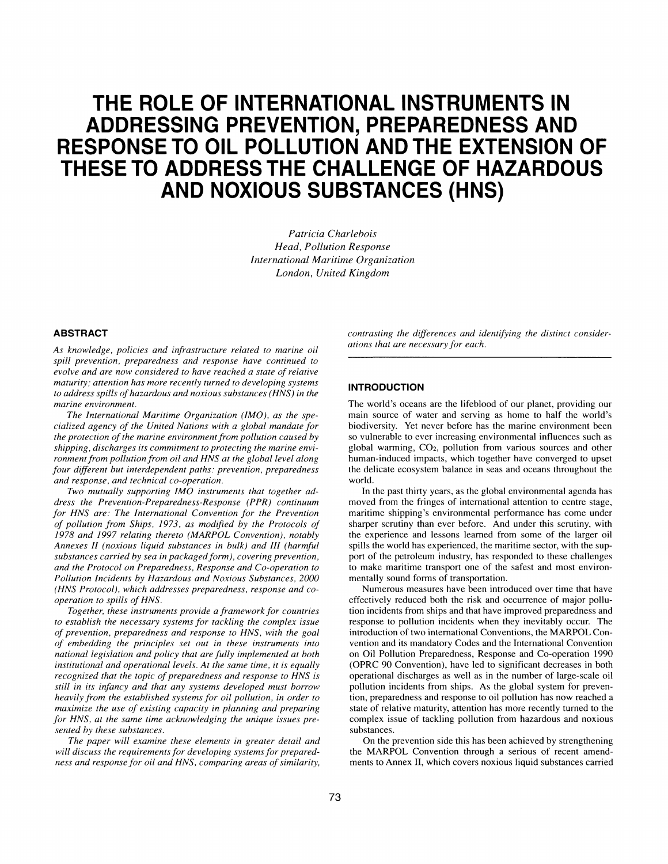# **THE ROLE OF INTERNATIONAL INSTRUMENTS IN ADDRESSING PREVENTION, PREPAREDNESS AND RESPONSE TO OIL POLLUTION AND THE EXTENSION OF THESE TO ADDRESS THE CHALLENGE OF HAZARDOUS AND NOXIOUS SUBSTANCES (HNS)**

*Patricia Charlebois Head, Pollution Response International Maritime Organization London, United Kingdom* 

#### **ABSTRACT**

*As knowledge, policies and infrastructure related to marine oil spill prevention, preparedness and response have continued to evolve and are now considered to have reached a state of relative maturity; attention has more recently turned to developing systems to address spills of hazardous and noxious substances (HNS) in the marine environment.* 

*The International Maritime Organization (IMO), as the specialized agency of the United Nations with a global mandate for the protection of the marine environment from pollution caused by shipping, discharges its commitment to protecting the marine environment from pollution from oil and HNS at the global level along four different but interdependent paths: prevention, preparedness and response, and technical co-operation.* 

*Two mutually supporting IMO instruments that together address the Prevention-Preparedness-Response (PPR) continuum for HNS are: The International Convention for the Prevention of pollution from Ships, 1973, as modified by the Protocols of 1978 and 1997 relating thereto (MARPOL Convention), notably Annexes II (noxious liquid substances in bulk) and III (harmful substances carried by sea in packaged form), covering prevention, and the Protocol on Preparedness, Response and Co-operation to Pollution Incidents by Hazardous and Noxious Substances, 2000 (HNS Protocol), which addresses preparedness, response and cooperation to spills of HNS.* 

*Together, these instruments provide a framework for countries to establish the necessary systems for tackling the complex issue of prevention, preparedness and response to HNS, with the goal of embedding the principles set out in these instruments into national legislation and policy that are fully implemented at both institutional and operational levels. At the same time, it is equally recognized that the topic of preparedness and response to HNS is still in its infancy and that any systems developed must borrow heavily from the established systems for oil pollution, in order to maximize the use of existing capacity in planning and preparing for HNS, at the same time acknowledging the unique issues presented by these substances.* 

*The paper will examine these elements in greater detail and will discuss the requirements for developing systems for preparedness and response for oil and HNS, comparing areas of similarity,*  *contrasting the differences and identifying the distinct considerations that are necessary for each.* 

### **INTRODUCTION**

The world's oceans are the lifeblood of our planet, providing our main source of water and serving as home to half the world's biodiversity. Yet never before has the marine environment been so vulnerable to ever increasing environmental influences such as global warming, CO2, pollution from various sources and other human-induced impacts, which together have converged to upset the delicate ecosystem balance in seas and oceans throughout the world.

In the past thirty years, as the global environmental agenda has moved from the fringes of international attention to centre stage, maritime shipping's environmental performance has come under sharper scrutiny than ever before. And under this scrutiny, with the experience and lessons learned from some of the larger oil spills the world has experienced, the maritime sector, with the support of the petroleum industry, has responded to these challenges to make maritime transport one of the safest and most environmentally sound forms of transportation.

Numerous measures have been introduced over time that have effectively reduced both the risk and occurrence of major pollution incidents from ships and that have improved preparedness and response to pollution incidents when they inevitably occur. The introduction of two international Conventions, the MARPOL Convention and its mandatory Codes and the International Convention on Oil Pollution Preparedness, Response and Co-operation 1990 (OPRC 90 Convention), have led to significant decreases in both operational discharges as well as in the number of large-scale oil pollution incidents from ships. As the global system for prevention, preparedness and response to oil pollution has now reached a state of relative maturity, attention has more recently turned to the complex issue of tackling pollution from hazardous and noxious substances.

On the prevention side this has been achieved by strengthening the MARPOL Convention through a serious of recent amendments to Annex II, which covers noxious liquid substances carried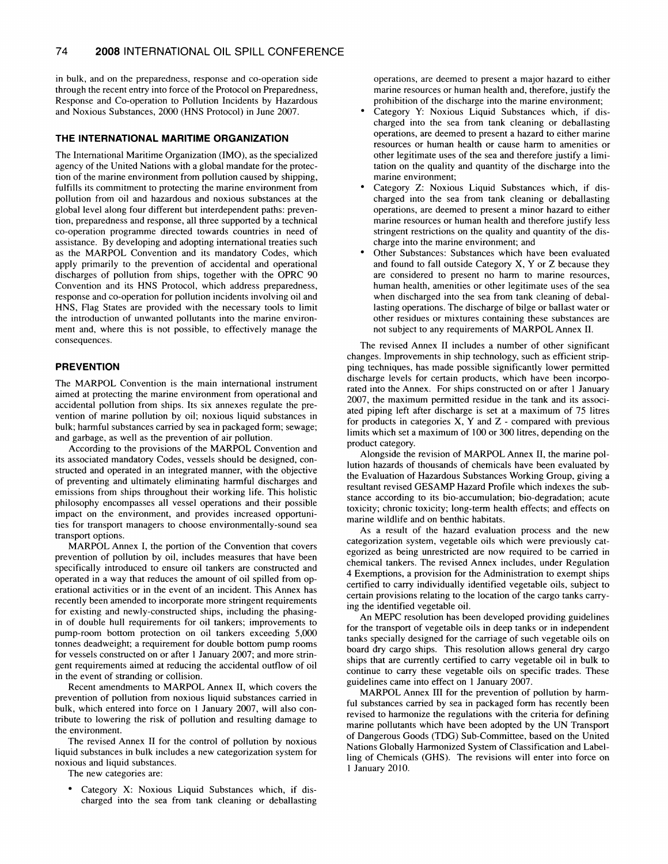in bulk, and on the preparedness, response and co-operation side through the recent entry into force of the Protocol on Preparedness, Response and Co-operation to Pollution Incidents by Hazardous and Noxious Substances, 2000 (HNS Protocol) in June 2007.

## **THE INTERNATIONAL MARITIME ORGANIZATION**

The International Maritime Organization (IMO), as the specialized agency of the United Nations with a global mandate for the protection of the marine environment from pollution caused by shipping, fulfills its commitment to protecting the marine environment from pollution from oil and hazardous and noxious substances at the global level along four different but interdependent paths: prevention, preparedness and response, all three supported by a technical co-operation programme directed towards countries in need of assistance. By developing and adopting international treaties such as the MARPOL Convention and its mandatory Codes, which apply primarily to the prevention of accidental and operational discharges of pollution from ships, together with the OPRC 90 Convention and its HNS Protocol, which address preparedness, response and co-operation for pollution incidents involving oil and HNS, Flag States are provided with the necessary tools to limit the introduction of unwanted pollutants into the marine environment and, where this is not possible, to effectively manage the consequences.

# **PREVENTION**

The MARPOL Convention is the main international instrument aimed at protecting the marine environment from operational and accidental pollution from ships. Its six annexes regulate the prevention of marine pollution by oil; noxious liquid substances in bulk; harmful substances carried by sea in packaged form; sewage; and garbage, as well as the prevention of air pollution.

According to the provisions of the MARPOL Convention and its associated mandatory Codes, vessels should be designed, constructed and operated in an integrated manner, with the objective of preventing and ultimately eliminating harmful discharges and emissions from ships throughout their working life. This holistic philosophy encompasses all vessel operations and their possible impact on the environment, and provides increased opportunities for transport managers to choose environmentally-sound sea transport options.

MARPOL Annex I, the portion of the Convention that covers prevention of pollution by oil, includes measures that have been specifically introduced to ensure oil tankers are constructed and operated in a way that reduces the amount of oil spilled from operational activities or in the event of an incident. This Annex has recently been amended to incorporate more stringent requirements for existing and newly-constructed ships, including the phasingin of double hull requirements for oil tankers; improvements to pump-room bottom protection on oil tankers exceeding 5,000 tonnes deadweight; a requirement for double bottom pump rooms for vessels constructed on or after 1 January 2007; and more stringent requirements aimed at reducing the accidental outflow of oil in the event of stranding or collision.

Recent amendments to MARPOL Annex II, which covers the prevention of pollution from noxious liquid substances carried in bulk, which entered into force on 1 January 2007, will also contribute to lowering the risk of pollution and resulting damage to the environment.

The revised Annex II for the control of pollution by noxious liquid substances in bulk includes a new categorization system for noxious and liquid substances.

The new categories are:

Category X: Noxious Liquid Substances which, if discharged into the sea from tank cleaning or deballasting

operations, are deemed to present a major hazard to either marine resources or human health and, therefore, justify the prohibition of the discharge into the marine environment;

- Category Y: Noxious Liquid Substances which, if discharged into the sea from tank cleaning or deballasting operations, are deemed to present a hazard to either marine resources or human health or cause harm to amenities or other legitimate uses of the sea and therefore justify a limitation on the quality and quantity of the discharge into the marine environment;
- Category Z: Noxious Liquid Substances which, if discharged into the sea from tank cleaning or deballasting operations, are deemed to present a minor hazard to either marine resources or human health and therefore justify less stringent restrictions on the quality and quantity of the discharge into the marine environment; and
- Other Substances: Substances which have been evaluated and found to fall outside Category X, Y or Z because they are considered to present no harm to marine resources, human health, amenities or other legitimate uses of the sea when discharged into the sea from tank cleaning of deballasting operations. The discharge of bilge or ballast water or other residues or mixtures containing these substances are not subject to any requirements of MARPOL Annex II.

The revised Annex II includes a number of other significant changes. Improvements in ship technology, such as efficient stripping techniques, has made possible significantly lower permitted discharge levels for certain products, which have been incorporated into the Annex. For ships constructed on or after 1 January 2007, the maximum permitted residue in the tank and its associated piping left after discharge is set at a maximum of 75 litres for products in categories  $X$ ,  $Y$  and  $Z$  - compared with previous limits which set a maximum of 100 or 300 litres, depending on the product category.

Alongside the revision of MARPOL Annex II, the marine pollution hazards of thousands of chemicals have been evaluated by the Evaluation of Hazardous Substances Working Group, giving a resultant revised GESAMP Hazard Profile which indexes the substance according to its bio-accumulation; bio-degradation; acute toxicity; chronic toxicity; long-term health effects; and effects on marine wildlife and on benthic habitats.

As a result of the hazard evaluation process and the new categorization system, vegetable oils which were previously categorized as being unrestricted are now required to be carried in chemical tankers. The revised Annex includes, under Regulation 4 Exemptions, a provision for the Administration to exempt ships certified to carry individually identified vegetable oils, subject to certain provisions relating to the location of the cargo tanks carrying the identified vegetable oil.

An MEPC resolution has been developed providing guidelines for the transport of vegetable oils in deep tanks or in independent tanks specially designed for the carriage of such vegetable oils on board dry cargo ships. This resolution allows general dry cargo ships that are currently certified to carry vegetable oil in bulk to continue to carry these vegetable oils on specific trades. These guidelines came into effect on 1 January 2007.

MARPOL Annex III for the prevention of pollution by harmful substances carried by sea in packaged form has recently been revised to harmonize the regulations with the criteria for defining marine pollutants which have been adopted by the UN Transport of Dangerous Goods (TDG) Sub-Committee, based on the United Nations Globally Harmonized System of Classification and Labelling of Chemicals (GHS). The revisions will enter into force on 1 January 2010.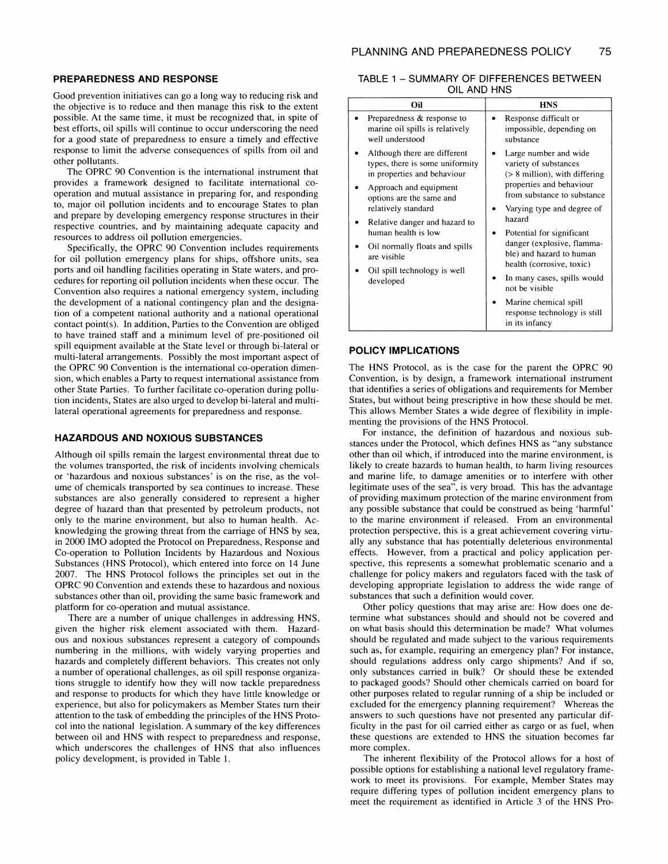#### **PREPAREDNESS AND RESPONSE**

Good prevention initiatives can go a long way to reducing risk and the objective is to reduce and then manage this risk to the extent possible. At the same time, it must be recognized that, in spite of best efforts, oil spills will continue to occur underscoring the need for a good state of preparedness to ensure a timely and effective response to limit the adverse consequences of spills from oil and other pollutants.

The OPRC 90 Convention is the international instrument that provides a framework designed to facilitate international cooperation and mutual assistance in preparing for, and responding to, major oil pollution incidents and to encourage States to plan and prepare by developing emergency response structures in their respective countries, and by maintaining adequate capacity and resources to address oil pollution emergencies.

Specifically, the OPRC 90 Convention includes requirements for oil pollution emergency plans for ships, offshore units, sea ports and oil handling facilities operating in State waters, and procedures for reporting oil pollution incidents when these occur. The Convention also requires a national emergency system, including the development of a national contingency plan and the designation of a competent national authority and a national operational contact point(s). In addition, Parties to the Convention are obliged to have trained staff and a minimum level of pre-positioned oil spill equipment available at the State level or through bi-lateral or multi-lateral arrangements. Possibly the most important aspect of the OPRC 90 Convention is the international co-operation dimension, which enables a Party to request international assistance from other State Parties. To further facilitate co-operation during pollution incidents, States are also urged to develop bi-lateral and multilateral operational agreements for preparedness and response.

# **HAZARDOUS AND NOXIOUS SUBSTANCES**

Although oil spills remain the largest environmental threat due to the volumes transported, the risk of incidents involving chemicals or 'hazardous and noxious substances' is on the rise, as the volume of chemicals transported by sea continues to increase. These substances are also generally considered to represent a higher degree of hazard than that presented by petroleum products, not only to the marine environment, but also to human health. Acknowledging the growing threat from the carriage of HNS by sea, in 2000 IMO adopted the Protocol on Preparedness, Response and Co-operation to Pollution Incidents by Hazardous and Noxious Substances (HNS Protocol), which entered into force on 14 June 2007. The HNS Protocol follows the principles set out in the OPRC 90 Convention and extends these to hazardous and noxious substances other than oil, providing the same basic framework and platform for co-operation and mutual assistance.

There are a number of unique challenges in addressing HNS, given the higher risk element associated with them. Hazardous and noxious substances represent a category of compounds numbering in the millions, with widely varying properties and hazards and completely different behaviors. This creates not only a number of operational challenges, as oil spill response organizations struggle to identify how they will now tackle preparedness and response to products for which they have little knowledge or experience, but also for policymakers as Member States turn their attention to the task of embedding the principles of the HNS Protocol into the national legislation. A summary of the key differences between oil and HNS with respect to preparedness and response, which underscores the challenges of HNS that also influences policy development, is provided in Table 1.

## TABLE 1 - SUMMARY OF DIFFERENCES BETWEEN OIL AND HNS

| Oil                                                                                                                                                                                                                                                                                                                               | <b>HNS</b>                                                                                                                                                                                                                                                                                                                                                 |
|-----------------------------------------------------------------------------------------------------------------------------------------------------------------------------------------------------------------------------------------------------------------------------------------------------------------------------------|------------------------------------------------------------------------------------------------------------------------------------------------------------------------------------------------------------------------------------------------------------------------------------------------------------------------------------------------------------|
| Preparedness & response to<br>marine oil spills is relatively<br>well understood                                                                                                                                                                                                                                                  | Response difficult or<br>impossible, depending on<br>substance                                                                                                                                                                                                                                                                                             |
| Although there are different<br>types, there is some uniformity<br>in properties and behaviour<br>Approach and equipment<br>options are the same and<br>relatively standard<br>Relative danger and hazard to<br>human health is low<br>Oil normally floats and spills<br>are visible<br>Oil spill technology is well<br>developed | Large number and wide<br>variety of substances<br>$($ > 8 million), with differing<br>properties and behaviour<br>from substance to substance<br>Varying type and degree of<br>hazard<br>Potential for significant<br>danger (explosive, flamma-<br>ble) and hazard to human<br>health (corrosive, toxic)<br>In many cases, spills would<br>not be visible |
|                                                                                                                                                                                                                                                                                                                                   | Marine chemical spill<br>response technology is still<br>in its infancy                                                                                                                                                                                                                                                                                    |

#### **POLICY IMPLICATIONS**

The HNS Protocol, as is the case for the parent the OPRC 90 Convention, is by design, a framework international instrument that identifies a series of obligations and requirements for Member States, but without being prescriptive in how these should be met. This allows Member States a wide degree of flexibility in implementing the provisions of the HNS Protocol.

For instance, the definition of hazardous and noxious substances under the Protocol, which defines HNS as "any substance other than oil which, if introduced into the marine environment, is likely to create hazards to human health, to harm living resources and marine life, to damage amenities or to interfere with other legitimate uses of the sea", is very broad. This has the advantage of providing maximum protection of the marine environment from any possible substance that could be construed as being 'harmful' to the marine environment if released. From an environmental protection perspective, this is a great achievement covering virtually any substance that has potentially deleterious environmental effects. However, from a practical and policy application perspective, this represents a somewhat problematic scenario and a challenge for policy makers and regulators faced with the task of developing appropriate legislation to address the wide range of substances that such a definition would cover.

Other policy questions that may arise are: How does one determine what substances should and should not be covered and on what basis should this determination be made? What volumes should be regulated and made subject to the various requirements such as, for example, requiring an emergency plan? For instance, should regulations address only cargo shipments? And if so, only substances carried in bulk? Or should these be extended to packaged goods? Should other chemicals carried on board for other purposes related to regular running of a ship be included or excluded for the emergency planning requirement? Whereas the answers to such questions have not presented any particular difficulty in the past for oil carried either as cargo or as fuel, when these questions are extended to HNS the situation becomes far more complex.

The inherent flexibility of the Protocol allows for a host of possible options for establishing a national level regulatory framework to meet its provisions. For example, Member States may require differing types of pollution incident emergency plans to meet the requirement as identified in Article 3 of the HNS Pro